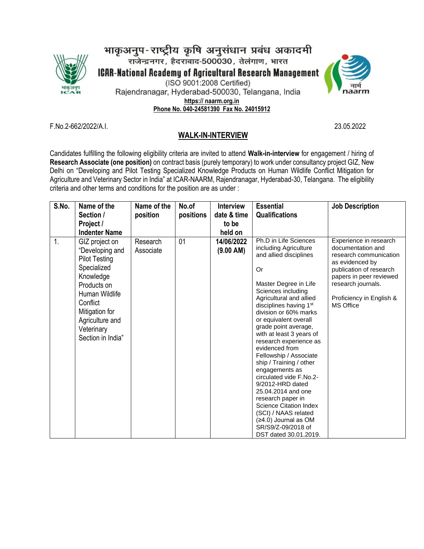

भाकृअनुप-राष्ट्रीय कृषि अनुसंधान प्रबंध अकादमी<br>राजेन्द्रनगर, हैदराबाद-500030, तेलंगाण, भारत **ICAR-National Academy of Agricultural Research Management** (ISO 9001:2008 Certified) Rajendranagar, Hyderabad-500030, Telangana, India **https:// naarm.org.in Phone No. 040-24581390 Fax No. 24015912**



F.No.2-662/2022/A.I. 23.05.2022

## **WALK-IN-INTERVIEW**

Candidates fulfilling the following eligibility criteria are invited to attend **Walk-in-interview** for engagement / hiring of **Research Associate (one position)** on contract basis (purely temporary) to work under consultancy project GIZ, New Delhi on "Developing and Pilot Testing Specialized Knowledge Products on Human Wildlife Conflict Mitigation for Agriculture and Veterinary Sector in India" at ICAR-NAARM, Rajendranagar, Hyderabad-30, Telangana. The eligibility criteria and other terms and conditions for the position are as under :

| S.No. | Name of the                                                                                                                                                                                                | Name of the           | No.of     | <b>Interview</b>        | <b>Essential</b>                                                                                                                                                                                                                                                                                                                                                                                                                                                                                                                                                                                                                      | <b>Job Description</b>                                                                                                                                                                                               |
|-------|------------------------------------------------------------------------------------------------------------------------------------------------------------------------------------------------------------|-----------------------|-----------|-------------------------|---------------------------------------------------------------------------------------------------------------------------------------------------------------------------------------------------------------------------------------------------------------------------------------------------------------------------------------------------------------------------------------------------------------------------------------------------------------------------------------------------------------------------------------------------------------------------------------------------------------------------------------|----------------------------------------------------------------------------------------------------------------------------------------------------------------------------------------------------------------------|
|       | Section /                                                                                                                                                                                                  | position              | positions | date & time             | <b>Qualifications</b>                                                                                                                                                                                                                                                                                                                                                                                                                                                                                                                                                                                                                 |                                                                                                                                                                                                                      |
|       | Project /                                                                                                                                                                                                  |                       |           | to be                   |                                                                                                                                                                                                                                                                                                                                                                                                                                                                                                                                                                                                                                       |                                                                                                                                                                                                                      |
|       | <b>Indenter Name</b>                                                                                                                                                                                       |                       |           | held on                 |                                                                                                                                                                                                                                                                                                                                                                                                                                                                                                                                                                                                                                       |                                                                                                                                                                                                                      |
| 1.    | GIZ project on<br>"Developing and<br><b>Pilot Testing</b><br>Specialized<br>Knowledge<br>Products on<br>Human Wildlife<br>Conflict<br>Mitigation for<br>Agriculture and<br>Veterinary<br>Section in India" | Research<br>Associate | 01        | 14/06/2022<br>(9.00 AM) | Ph.D in Life Sciences<br>including Agriculture<br>and allied disciplines<br>Or<br>Master Degree in Life<br>Sciences including<br>Agricultural and allied<br>disciplines having 1st<br>division or 60% marks<br>or equivalent overall<br>grade point average,<br>with at least 3 years of<br>research experience as<br>evidenced from<br>Fellowship / Associate<br>ship / Training / other<br>engagements as<br>circulated vide F.No.2-<br>9/2012-HRD dated<br>25.04.2014 and one<br>research paper in<br><b>Science Citation Index</b><br>(SCI) / NAAS related<br>(≥4.0) Journal as OM<br>SR/S9/Z-09/2018 of<br>DST dated 30.01.2019. | Experience in research<br>documentation and<br>research communication<br>as evidenced by<br>publication of research<br>papers in peer reviewed<br>research journals.<br>Proficiency in English &<br><b>MS Office</b> |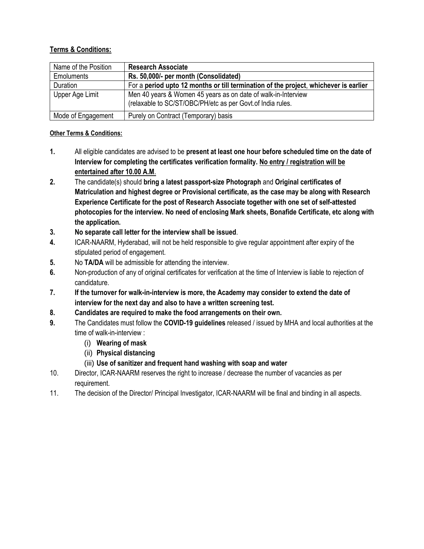## **Terms & Conditions:**

| Name of the Position | <b>Research Associate</b>                                                                                                   |
|----------------------|-----------------------------------------------------------------------------------------------------------------------------|
| <b>Emoluments</b>    | Rs. 50,000/- per month (Consolidated)                                                                                       |
| Duration             | For a period upto 12 months or till termination of the project, whichever is earlier                                        |
| Upper Age Limit      | Men 40 years & Women 45 years as on date of walk-in-Interview<br>(relaxable to SC/ST/OBC/PH/etc as per Govt.of India rules. |
| Mode of Engagement   | Purely on Contract (Temporary) basis                                                                                        |

## **Other Terms & Conditions:**

- **1.** All eligible candidates are advised to be **present at least one hour before scheduled time on the date of Interview for completing the certificates verification formality. No entry / registration will be entertained after 10.00 A.M**.
- **2.** The candidate(s) should **bring a latest passport-size Photograph** and **Original certificates of Matriculation and highest degree or Provisional certificate, as the case may be along with Research Experience Certificate for the post of Research Associate together with one set of self-attested photocopies for the interview. No need of enclosing Mark sheets, Bonafide Certificate, etc along with the application.**
- **3. No separate call letter for the interview shall be issued**.
- **4.** ICAR-NAARM, Hyderabad, will not be held responsible to give regular appointment after expiry of the stipulated period of engagement.
- **5.** No **TA/DA** will be admissible for attending the interview.
- **6.** Non-production of any of original certificates for verification at the time of Interview is liable to rejection of candidature.
- **7. If the turnover for walk-in-interview is more, the Academy may consider to extend the date of interview for the next day and also to have a written screening test.**
- **8. Candidates are required to make the food arrangements on their own.**
- **9.** The Candidates must follow the **COVID-19 guidelines** released / issued by MHA and local authorities at the time of walk-in-interview :
	- (i) **Wearing of mask**
	- (ii) **Physical distancing**
	- (iii) **Use of sanitizer and frequent hand washing with soap and water**
- 10. Director, ICAR-NAARM reserves the right to increase / decrease the number of vacancies as per requirement.
- 11. The decision of the Director/ Principal Investigator, ICAR-NAARM will be final and binding in all aspects.